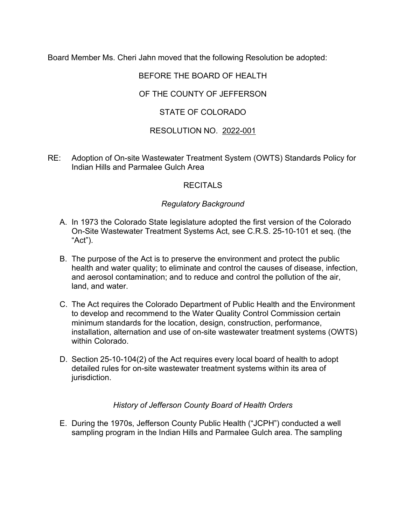Board Member Ms. Cheri Jahn moved that the following Resolution be adopted:

# BEFORE THE BOARD OF HEALTH

### OF THE COUNTY OF JEFFERSON

## STATE OF COLORADO

### RESOLUTION NO. 2022-001

RE: Adoption of On-site Wastewater Treatment System (OWTS) Standards Policy for Indian Hills and Parmalee Gulch Area

#### **RECITALS**

#### *Regulatory Background*

- A. In 1973 the Colorado State legislature adopted the first version of the Colorado On-Site Wastewater Treatment Systems Act, see C.R.S. 25-10-101 et seq. (the "Act").
- B. The purpose of the Act is to preserve the environment and protect the public health and water quality; to eliminate and control the causes of disease, infection, and aerosol contamination; and to reduce and control the pollution of the air, land, and water.
- C. The Act requires the Colorado Department of Public Health and the Environment to develop and recommend to the Water Quality Control Commission certain minimum standards for the location, design, construction, performance, installation, alternation and use of on-site wastewater treatment systems (OWTS) within Colorado.
- D. Section 25-10-104(2) of the Act requires every local board of health to adopt detailed rules for on-site wastewater treatment systems within its area of jurisdiction.

#### *History of Jefferson County Board of Health Orders*

E. During the 1970s, Jefferson County Public Health ("JCPH") conducted a well sampling program in the Indian Hills and Parmalee Gulch area. The sampling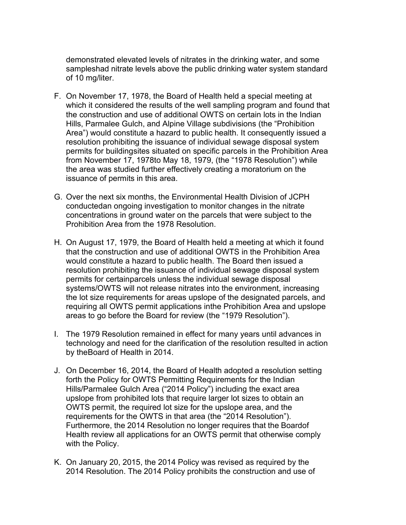demonstrated elevated levels of nitrates in the drinking water, and some sampleshad nitrate levels above the public drinking water system standard of 10 mg/liter.

- F. On November 17, 1978, the Board of Health held a special meeting at which it considered the results of the well sampling program and found that the construction and use of additional OWTS on certain lots in the Indian Hills, Parmalee Gulch, and Alpine Village subdivisions (the "Prohibition Area") would constitute a hazard to public health. It consequently issued a resolution prohibiting the issuance of individual sewage disposal system permits for buildingsites situated on specific parcels in the Prohibition Area from November 17, 1978to May 18, 1979, (the "1978 Resolution") while the area was studied further effectively creating a moratorium on the issuance of permits in this area.
- G. Over the next six months, the Environmental Health Division of JCPH conductedan ongoing investigation to monitor changes in the nitrate concentrations in ground water on the parcels that were subject to the Prohibition Area from the 1978 Resolution.
- H. On August 17, 1979, the Board of Health held a meeting at which it found that the construction and use of additional OWTS in the Prohibition Area would constitute a hazard to public health. The Board then issued a resolution prohibiting the issuance of individual sewage disposal system permits for certainparcels unless the individual sewage disposal systems/OWTS will not release nitrates into the environment, increasing the lot size requirements for areas upslope of the designated parcels, and requiring all OWTS permit applications inthe Prohibition Area and upslope areas to go before the Board for review (the "1979 Resolution").
- I. The 1979 Resolution remained in effect for many years until advances in technology and need for the clarification of the resolution resulted in action by theBoard of Health in 2014.
- J. On December 16, 2014, the Board of Health adopted a resolution setting forth the Policy for OWTS Permitting Requirements for the Indian Hills/Parmalee Gulch Area ("2014 Policy") including the exact area upslope from prohibited lots that require larger lot sizes to obtain an OWTS permit, the required lot size for the upslope area, and the requirements for the OWTS in that area (the "2014 Resolution"). Furthermore, the 2014 Resolution no longer requires that the Boardof Health review all applications for an OWTS permit that otherwise comply with the Policy.
- K. On January 20, 2015, the 2014 Policy was revised as required by the 2014 Resolution. The 2014 Policy prohibits the construction and use of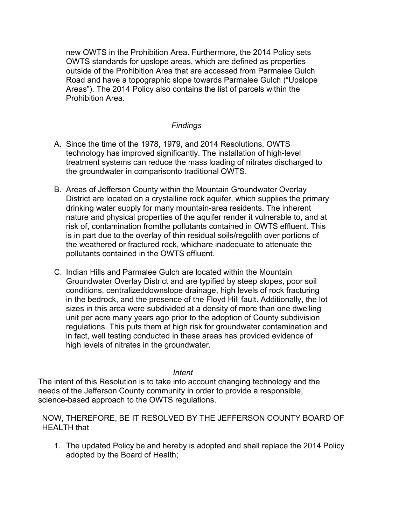new OWTS in the Prohibition Area. Furthermore, the 2014 Policy sets OWTS standards for upslope areas, which are defined as properties outside of the Prohibition Area that are accessed from Parmalee Gulch Road and have a topographic slope towards Parmalee Gulch ("Upslope Areas"). The 2014 Policy also contains the list of parcels within the Prohibition Area.

#### *Findings*

- A. Since the time of the 1978, 1979, and 2014 Resolutions, OWTS technology has improved significantly. The installation of high-level treatment systems can reduce the mass loading of nitrates discharged to the groundwater in comparisonto traditional OWTS.
- B. Areas of Jefferson County within the Mountain Groundwater Overlay District are located on a crystalline rock aquifer, which supplies the primary drinking water supply for many mountain-area residents. The inherent nature and physical properties of the aquifer render it vulnerable to, and at risk of, contamination fromthe pollutants contained in OWTS effluent. This is in part due to the overlay of thin residual soils/regolith over portions of the weathered or fractured rock, whichare inadequate to attenuate the pollutants contained in the OWTS effluent.
- C. Indian Hills and Parmalee Gulch are located within the Mountain Groundwater Overlay District and are typified by steep slopes, poor soil conditions, centralizeddownslope drainage, high levels of rock fracturing in the bedrock, and the presence of the Floyd Hill fault. Additionally, the lot sizes in this area were subdivided at a density of more than one dwelling unit per acre many years ago prior to the adoption of County subdivision regulations. This puts them at high risk for groundwater contamination and in fact, well testing conducted in these areas has provided evidence of high levels of nitrates in the groundwater.

#### *Intent*

The intent of this Resolution is to take into account changing technology and the needs of the Jefferson County community in order to provide a responsible, science-based approach to the OWTS regulations.

#### NOW, THEREFORE, BE IT RESOLVED BY THE JEFFERSON COUNTY BOARD OF HEALTH that

1. The updated Policy be and hereby is adopted and shall replace the 2014 Policy adopted by the Board of Health;